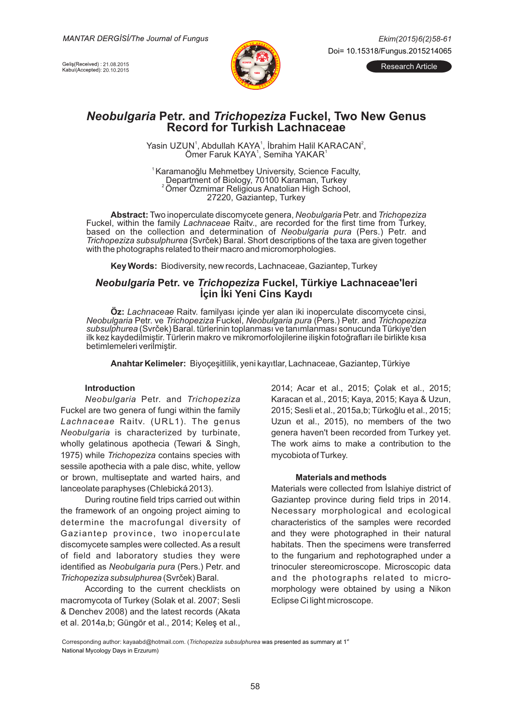*Ek-m(2015)6(2)58-61* Doi= 10.15318/Fungus.2015214065

Geliş(Received) : 21.08.2015<br>Kabul(Accepted): 20.10.2015



# **Neobulgaria Petr. and Trichopeziza Fuckel, Two New Genus Record for Turkish Lachnaceae**

Yasin UZUN<sup>1</sup>, Abdullah KAYA<sup>1</sup>, İbrahim Halil KARACAN<sup>2</sup>, Ömer Faruk KAYA<sup>1</sup>, Semiha YAKAR<sup>1</sup>

1 Karamanoğlu Mehmetbey University, Science Faculty, Department of Biology, 70100 Karaman, Turkey <sup>2</sup> Ömer Özmimar Religious Anatolian High School, 27220, Gaziantep, Turkey

Abstract: Two inoperculate discomycete genera, Neobulgaria Petr. and *Trichopeziza* Fuckel, within the family *Lachnaceae* Raity., are recorded for the first time from Turkey, based on the collection and determination of *Neobulgaria pura* (Pers.) Petr. and *Trichopeziza subsulphurea* (Svrček) Baral. Short descriptions of the taxa are given together with the photographs related to their macro and micromorphologies.

**Key Words:** Biodiversity, new records, Lachnaceae, Gaziantep, Turkey

## *Neobulgaria Trichopeziza* **Petr. ve Fuckel, Türkiye Lachnaceae'leri İçin İki Yeni Cins Kaydı**

**Öz:** *Lachnaceae* Raitv. familyası içinde yer alan iki inoperculate discomycete cinsi, *Neobulgaria Petr. ve Trichopeziza Fuckel, Neobulgaria pura (Pers.) Petr. and Trichopeziza* subsulphurea (Svrček) Baral. türlerinin toplanması ve tanımlanması sonucunda Türkiye'den ilk kez kaydedilmiştir. Türlerin makro ve mikromorfolojilerine ilişkin fotoğrafları ile birlikte kısa betimlemeleri verilmiştir.

**Anahtar Kelimeler:** Biyocesitlilik, yeni kayıtlar, Lachnaceae, Gaziantep, Türkiye

#### **Introduction**

*Neobulgaria Petr. and Trichopeziza* Fuckel are two genera of fungi within the family *Lachnaceae* Raitv. (URL1). The genus *Neobulgaria* is characterized by turbinate, wholly gelatinous apothecia (Tewari & Singh, 1975) while *Trichopeziza* contains species with sessile apothecia with a pale disc, white, yellow or brown, multiseptate and warted hairs, and lanceolate paraphyses (Chlebická 2013).

During routine field trips carried out within the framework of an ongoing project aiming to determine the macrofungal diversity of Gaziantep province, two inoperculate discomycete samples were collected.As a result of field and laboratory studies they were identified as Neobulgaria pura (Pers.) Petr. and *Trichopeziza subsulphurea* (Svrček) Baral.

According to the current checklists on macromycota of Turkey (Solak et al. 2007; Sesli & Denchev 2008) and the latest records (Akata et al. 2014a,b; Güngör et al., 2014; Keleş et al.,

2014; Acar et al., 2015; Çolak et al., 2015; Karacan et al., 2015; Kaya, 2015; Kaya & Uzun, 2015; Sesli et al., 2015a,b; Türkoğlu et al., 2015; Uzun et al., 2015), no members of the two genera haven't been recorded from Turkey yet. The work aims to make a contribution to the mycobiota of Turkey.

#### **Materials and methods**

Materials were collected from Islahiye district of Gaziantep province during field trips in 2014. Necessary morphological and ecological characteristics of the samples were recorded and they were photographed in their natural habitats. Then the specimens were transferred to the fungarium and rephotographed under a trinoculer stereomicroscope. Microscopic data and the photographs related to micromorphology were obtained by using a Nikon Eclipse Ci light microscope.

Corresponding author: kayaabd@hotmail.com. (Trichopeziza subsulphurea was presented as summary at 1<sup>®</sup> National Mycology Days in Erzurum)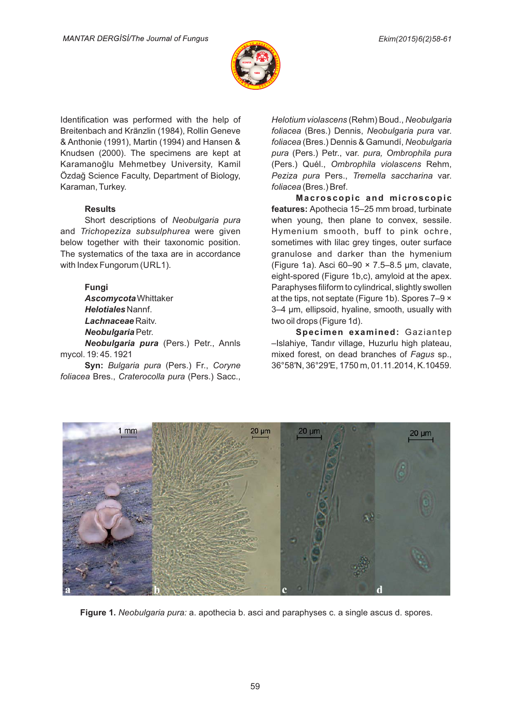

Identification was performed with the help of Breitenbach and Kränzlin (1984), Rollin Geneve & Anthonie (1991), Martin (1994) and Hansen & Knudsen (2000). The specimens are kept at Karamanoğlu Mehmetbey University, Kamil Özdağ Science Faculty, Department of Biology, Karaman, Turkey.

#### **Results**

Short descriptions of Neobulgaria pura and *Trichopeziza subsulphurea* were given below together with their taxonomic position. The systematics of the taxa are in accordance with Index Fungorum (URL1).

> **Fungi** *Ascomycota*Whittaker *Helotiales* Nannf. *Lachnaceae* Raitv. *Neobulgaria*Petr.

*Neobulgaria pura* (Pers.) Petr., Annls mycol. 19: 45. 1921

**Syn: Bulgaria pura (Pers.) Fr., Coryne** *foliacea Bres., Craterocolla pura* (Pers.) Sacc.,

*Helotium violascens (Rehm) Boud., Neobulgaria foliacea (Bres.) Dennis, Neobulgaria pura var. foliacea (Bres.) Dennis & Gamundí, Neobulgaria* pura (Pers.) Petr., var. pura, Ombrophila pura (Pers.) Quél., Ombrophila violascens Rehm, *Peziza pura Pers., Tremella saccharina var. foliacea* (Bres.) Bref.

**Macroscopic and microscopic features:** Apothecia 15–25 mm broad, turbinate when young, then plane to convex, sessile. Hymenium smooth, buff to pink ochre, sometimes with lilac grey tinges, outer surface granulose and darker than the hymenium (Figure 1a). Asci 60–90 × 7.5–8.5 μm, clavate, eight-spored (Figure 1b,c), amyloid at the apex. Paraphyses filiform to cylindrical, slightly swollen at the tips, not septate (Figure 1b). Spores 7–9 × 3–4 μm, ellipsoid, hyaline, smooth, usually with two oil drops (Figure 1d).

**Specimen examined:** Gaziantep –Islahiye, Tandır village, Huzurlu high plateau, mixed forest, on dead branches of Fagus sp., 36°58′N, 36°29′E, 1750 m, 01.11.2014, K.10459.



**Figure 1.** *Neobulgaria pura:* a. apothecia b. asci and paraphyses c. a single ascus d. spores.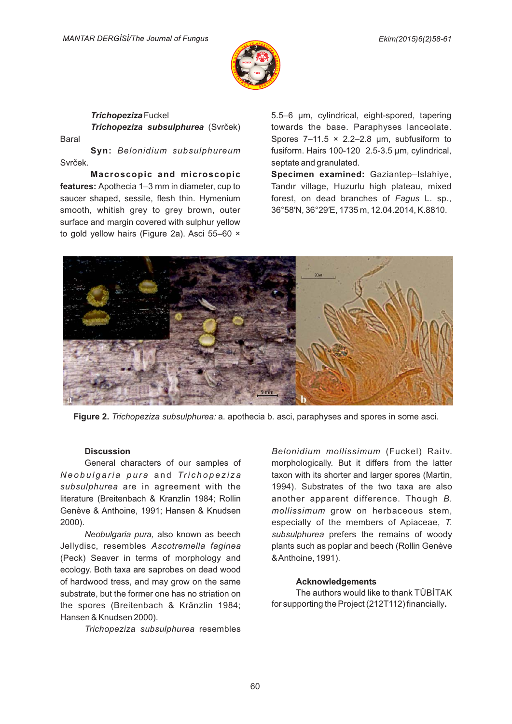

### *Trichopeziza*Fuckel

*Trichopeziza subsulphurea* (Svrček) Baral

**Syn:** *Belonidium subsulphureum* Svrček.

**Macroscopic and microscopic features:** Apothecia 1–3 mm in diameter, cup to saucer shaped, sessile, flesh thin. Hymenium smooth, whitish grey to grey brown, outer surface and margin covered with sulphur yellow to gold yellow hairs (Figure 2a). Asci 55–60 ×

5.5–6 μm, cylindrical, eight-spored, tapering towards the base. Paraphyses lanceolate. Spores  $7-11.5 \times 2.2-2.8$  µm, subfusiform to fusiform. Hairs 100-120 2.5-3.5 μm, cylindrical, septate and granulated.

**Specimen examined:** Gaziantep–Islahiye, Tandır village, Huzurlu high plateau, mixed forest, on dead branches of Fagus L. sp., 36°58′N, 36°29′E, 1735 m, 12.04.2014, K.8810.



**Figure 2.** *Trichopeziza subsulphurea:* a. apothecia b. asci, paraphyses and spores in some asci.

#### **Discussion**

General characters of our samples of *Neobulgaria pura and Trichopeziza subsulphurea* are in agreement with the literature (Breitenbach & Kranzlin 1984; Rollin Genève & Anthoine, 1991; Hansen & Knudsen 2000).

*Neobulgaria pura,* also known as beech Jellydisc, resembles *Ascotremella faginea* (Peck) Seaver in terms of morphology and ecology. Both taxa are saprobes on dead wood of hardwood tress, and may grow on the same substrate, but the former one has no striation on the spores (Breitenbach & Kränzlin 1984; Hansen & Knudsen 2000).

*Trichopeziza subsulphurea* resembles

*Belonidium mollissimum* (Fuckel) Raitv. morphologically. But it differs from the latter taxon with its shorter and larger spores (Martin, 1994). Substrates of the two taxa are also another apparent difference. Though *B. mollissimum* grow on herbaceous stem, especially of the members of Apiaceae, *T.* subsulphurea prefers the remains of woody plants such as poplar and beech (Rollin Genève &Anthoine, 1991).

#### **Acknowledgements**

The authors would like to thank TÜBİTAK for supporting the Project (212T112) financially**.**